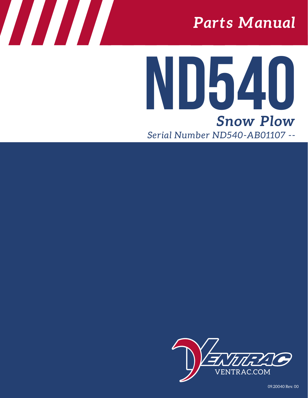# *Parts Manual*

# *Snow Plow* **ND540** *Serial Number ND540-AB01107 --*



09.20040 Rev. 00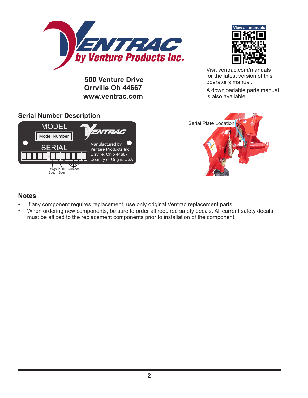

 **500 Venture Drive Orrville Oh 44667 www.ventrac.com**



Visit ventrac.com/manuals for the latest version of this operator's manual.

A downloadable parts manual is also available.

#### **Serial Number Description**





#### **Notes**

- If any component requires replacement, use only original Ventrac replacement parts.
- When ordering new components, be sure to order all required safety decals. All current safety decals must be affixed to the replacement components prior to installation of the component.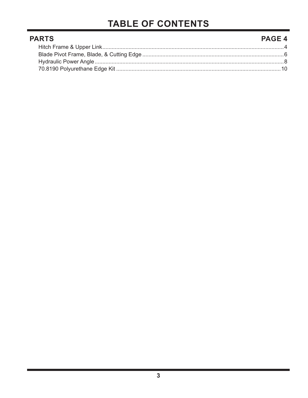# **TABLE OF CONTENTS**

| <b>PARTS</b> | <b>PAGE 4</b> |
|--------------|---------------|
|              |               |
|              |               |
|              |               |
|              |               |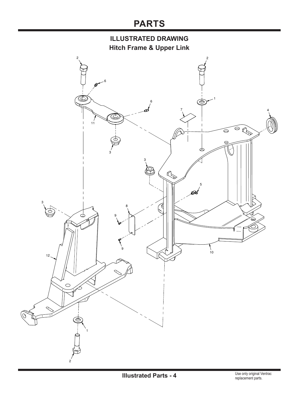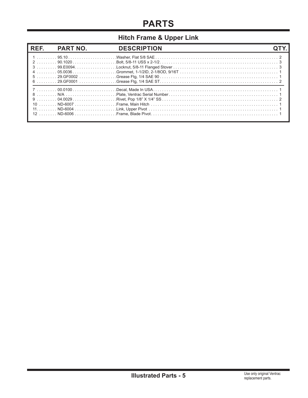#### **Hitch Frame & Upper Link**

| 5 ………… 29.GF0002 ……………………Grease Ftg, 1/4 SAE 90…………………………………………………………………………………………1 |  |
|------------------------------------------------------------------------------------|--|
|                                                                                    |  |
|                                                                                    |  |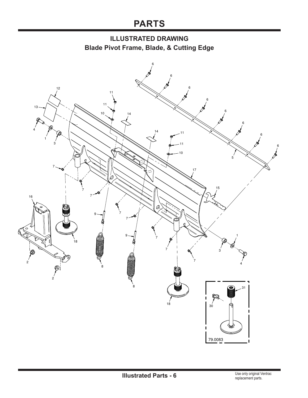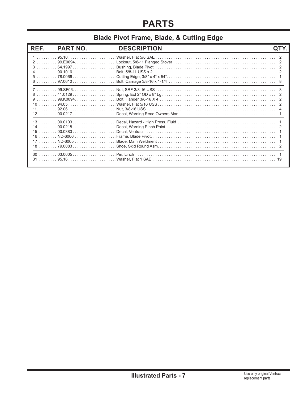#### **Blade Pivot Frame, Blade, & Cutting Edge**

| REF.                       | <b>PART NO.</b>                                                                             | <b>DESCRIPTION</b> |  |
|----------------------------|---------------------------------------------------------------------------------------------|--------------------|--|
|                            | $6 \ldots \ldots 97.0610 \ldots \ldots \ldots \ldots \ldots$                                |                    |  |
| 9<br>10<br>11              | . 99. KO094.<br>$12$ 00.0217                                                                |                    |  |
| 14<br>15<br>16<br>17<br>18 | $\ldots \ldots 00.0383 \ldots \ldots \ldots \ldots \ldots \ldots$<br>. ND-6006<br>. ND-6005 |                    |  |
|                            |                                                                                             |                    |  |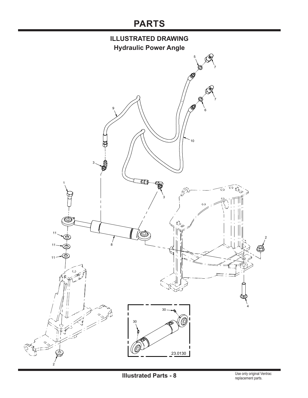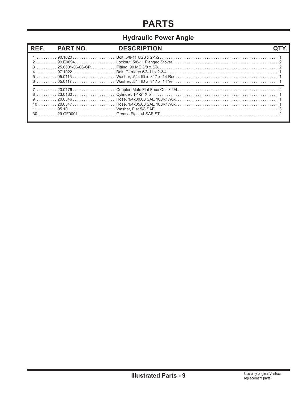#### **Hydraulic Power Angle**

| REF. | <b>PART NO.</b> | <b>DESCRIPTION</b>                                                                                                                                         |  |
|------|-----------------|------------------------------------------------------------------------------------------------------------------------------------------------------------|--|
|      |                 |                                                                                                                                                            |  |
|      |                 | 10 ……… 20.0347……………………… Hose, 1/4x35.00 SAE 100R17AR………………………………………………………… 1<br>30 ……… 29.GF0001 ………………… Grease Ftg. 1/4 SAE ST………………………………………………………………… 2 |  |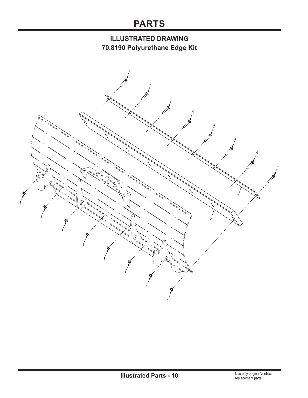